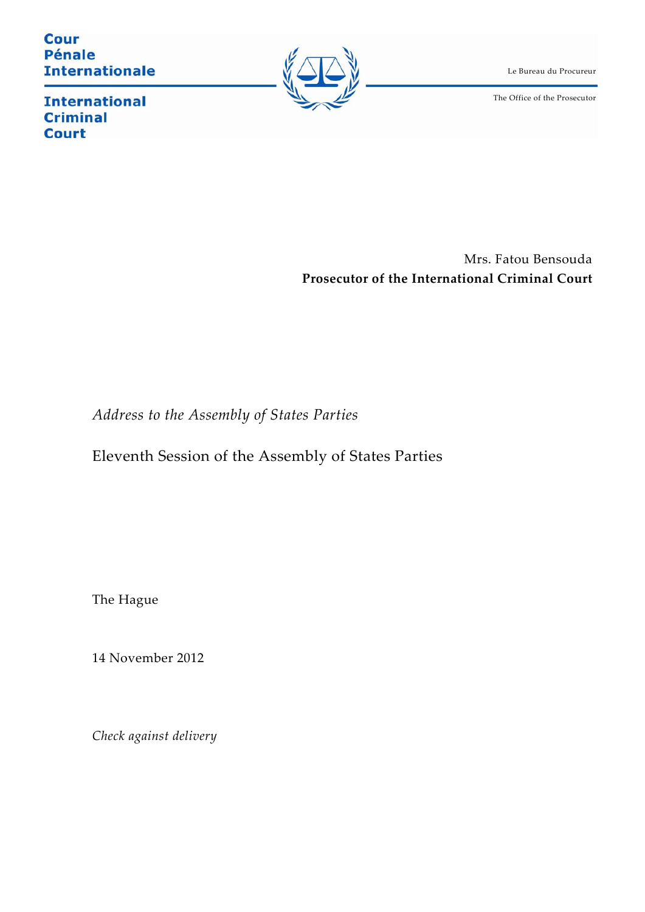**Cour Pénale Internationale** 



Le Bureau du Procureur

The Office of the Prosecutor

**International Criminal Court** 

> Mrs. Fatou Bensouda **Prosecutor of the International Criminal Court**

*Address to the Assembly of States Parties*

Eleventh Session of the Assembly of States Parties

The Hague

14 November 2012

*Check against delivery*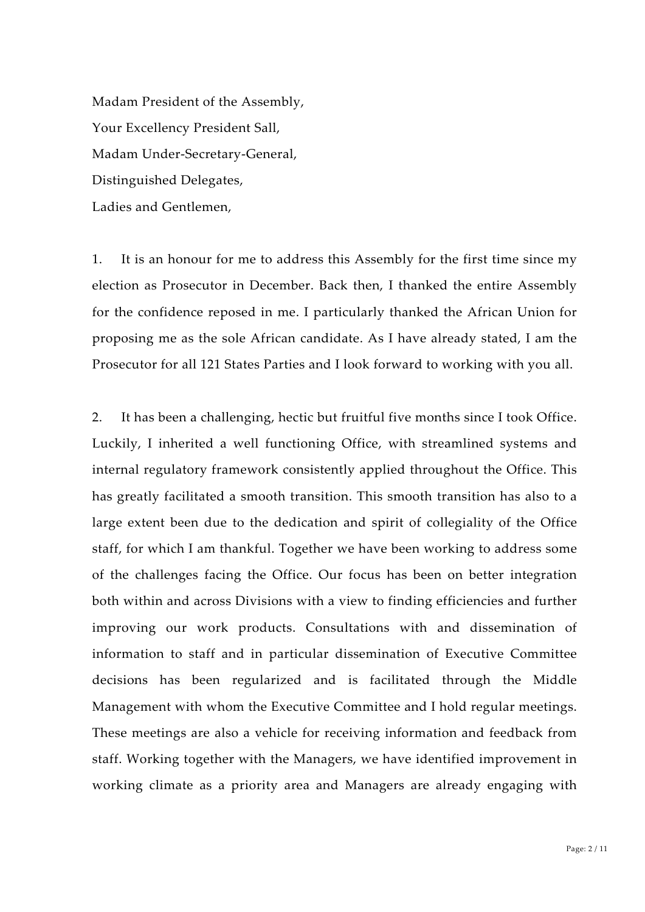Madam President of the Assembly, Your Excellency President Sall, Madam Under‐Secretary‐General, Distinguished Delegates, Ladies and Gentlemen,

1. It is an honour for me to address this Assembly for the first time since my election as Prosecutor in December. Back then, I thanked the entire Assembly for the confidence reposed in me. I particularly thanked the African Union for proposing me as the sole African candidate. As I have already stated, I am the Prosecutor for all 121 States Parties and I look forward to working with you all.

2. It has been a challenging, hectic but fruitful five months since I took Office. Luckily, I inherited a well functioning Office, with streamlined systems and internal regulatory framework consistently applied throughout the Office. This has greatly facilitated a smooth transition. This smooth transition has also to a large extent been due to the dedication and spirit of collegiality of the Office staff, for which I am thankful. Together we have been working to address some of the challenges facing the Office. Our focus has been on better integration both within and across Divisions with a view to finding efficiencies and further improving our work products. Consultations with and dissemination of information to staff and in particular dissemination of Executive Committee decisions has been regularized and is facilitated through the Middle Management with whom the Executive Committee and I hold regular meetings. These meetings are also a vehicle for receiving information and feedback from staff. Working together with the Managers, we have identified improvement in working climate as a priority area and Managers are already engaging with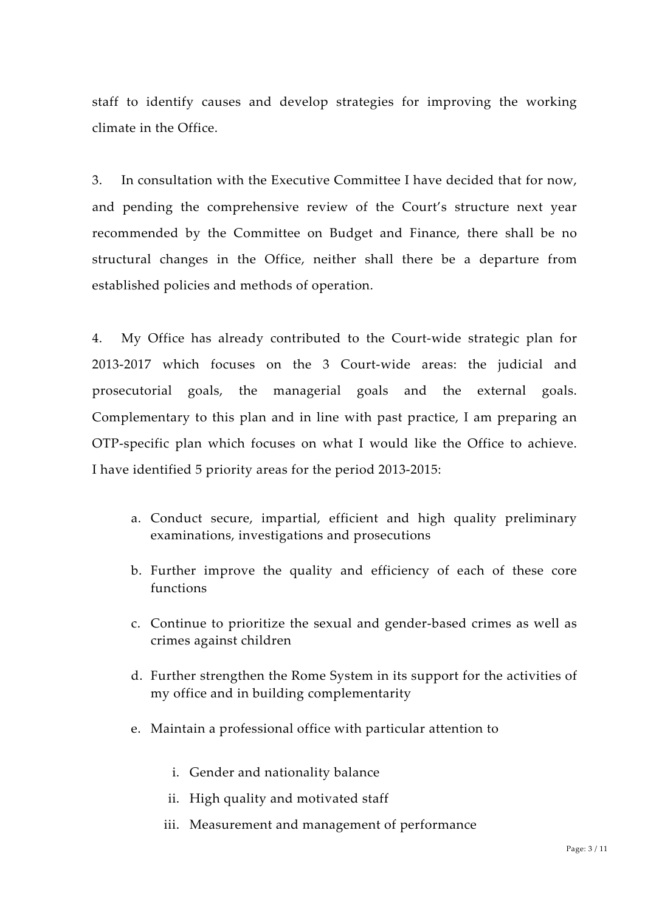staff to identify causes and develop strategies for improving the working climate in the Office.

3. In consultation with the Executive Committee I have decided that for now, and pending the comprehensive review of the Court's structure next year recommended by the Committee on Budget and Finance, there shall be no structural changes in the Office, neither shall there be a departure from established policies and methods of operation.

4. My Office has already contributed to the Court‐wide strategic plan for 2013‐2017 which focuses on the 3 Court‐wide areas: the judicial and prosecutorial goals, the managerial goals and the external goals. Complementary to this plan and in line with past practice, I am preparing an OTP‐specific plan which focuses on what I would like the Office to achieve. I have identified 5 priority areas for the period 2013‐2015:

- a. Conduct secure, impartial, efficient and high quality preliminary examinations, investigations and prosecutions
- b. Further improve the quality and efficiency of each of these core functions
- c. Continue to prioritize the sexual and gender‐based crimes as well as crimes against children
- d. Further strengthen the Rome System in its support for the activities of my office and in building complementarity
- e. Maintain a professional office with particular attention to
	- i. Gender and nationality balance
	- ii. High quality and motivated staff
	- iii. Measurement and management of performance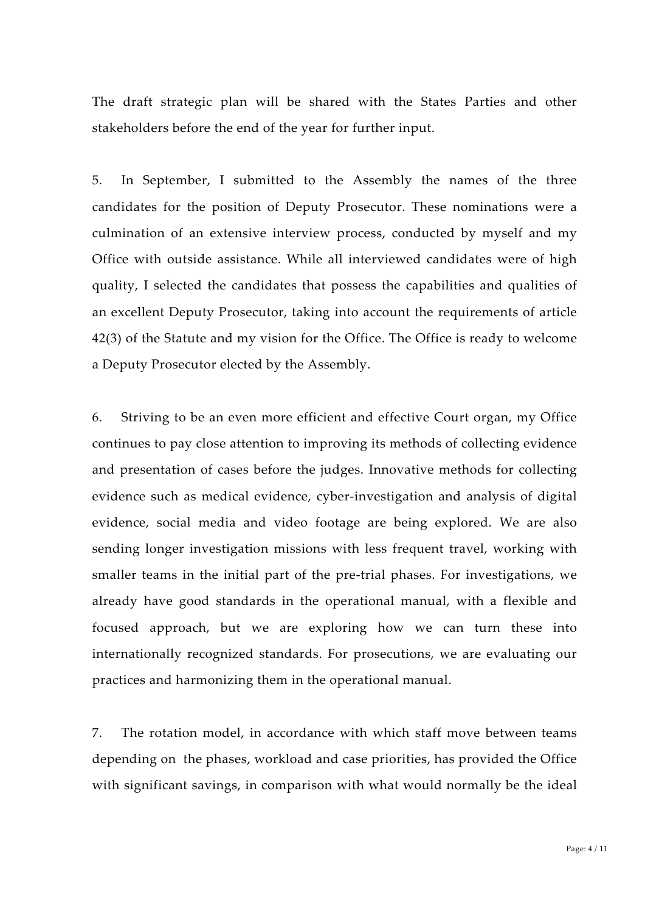The draft strategic plan will be shared with the States Parties and other stakeholders before the end of the year for further input.

5. In September, I submitted to the Assembly the names of the three candidates for the position of Deputy Prosecutor. These nominations were a culmination of an extensive interview process, conducted by myself and my Office with outside assistance. While all interviewed candidates were of high quality, I selected the candidates that possess the capabilities and qualities of an excellent Deputy Prosecutor, taking into account the requirements of article 42(3) of the Statute and my vision for the Office. The Office is ready to welcome a Deputy Prosecutor elected by the Assembly.

6. Striving to be an even more efficient and effective Court organ, my Office continues to pay close attention to improving its methods of collecting evidence and presentation of cases before the judges. Innovative methods for collecting evidence such as medical evidence, cyber‐investigation and analysis of digital evidence, social media and video footage are being explored. We are also sending longer investigation missions with less frequent travel, working with smaller teams in the initial part of the pre-trial phases. For investigations, we already have good standards in the operational manual, with a flexible and focused approach, but we are exploring how we can turn these into internationally recognized standards. For prosecutions, we are evaluating our practices and harmonizing them in the operational manual.

7. The rotation model, in accordance with which staff move between teams depending on the phases, workload and case priorities, has provided the Office with significant savings, in comparison with what would normally be the ideal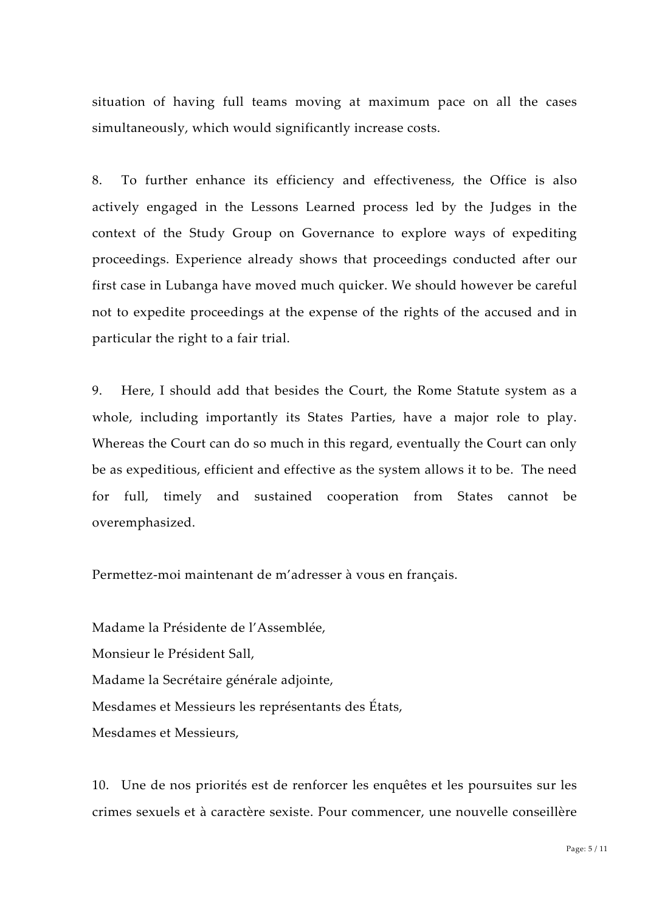situation of having full teams moving at maximum pace on all the cases simultaneously, which would significantly increase costs.

8. To further enhance its efficiency and effectiveness, the Office is also actively engaged in the Lessons Learned process led by the Judges in the context of the Study Group on Governance to explore ways of expediting proceedings. Experience already shows that proceedings conducted after our first case in Lubanga have moved much quicker. We should however be careful not to expedite proceedings at the expense of the rights of the accused and in particular the right to a fair trial.

9. Here, I should add that besides the Court, the Rome Statute system as a whole, including importantly its States Parties, have a major role to play. Whereas the Court can do so much in this regard, eventually the Court can only be as expeditious, efficient and effective as the system allows it to be. The need for full, timely and sustained cooperation from States cannot be overemphasized.

Permettez‐moi maintenant de m'adresser à vous en français.

Madame la Présidente de l'Assemblée, Monsieur le Président Sall, Madame la Secrétaire générale adjointe, Mesdames et Messieurs les représentants des États, Mesdames et Messieurs,

10. Une de nos priorités est de renforcer les enquêtes et les poursuites sur les crimes sexuels et à caractère sexiste. Pour commencer, une nouvelle conseillère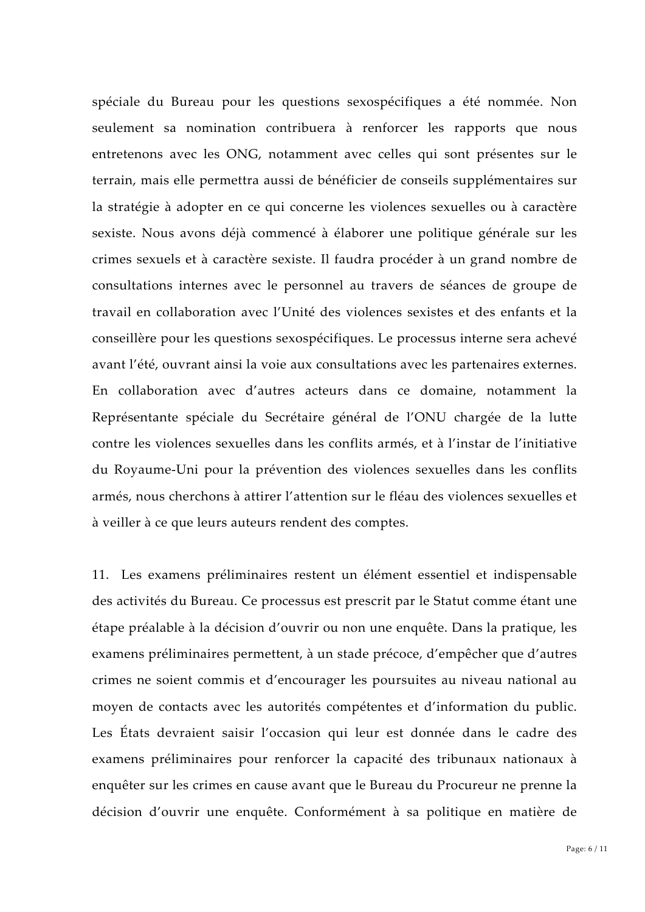spéciale du Bureau pour les questions sexospécifiques a été nommée. Non seulement sa nomination contribuera à renforcer les rapports que nous entretenons avec les ONG, notamment avec celles qui sont présentes sur le terrain, mais elle permettra aussi de bénéficier de conseils supplémentaires sur la stratégie à adopter en ce qui concerne les violences sexuelles ou à caractère sexiste. Nous avons déjà commencé à élaborer une politique générale sur les crimes sexuels et à caractère sexiste. Il faudra procéder à un grand nombre de consultations internes avec le personnel au travers de séances de groupe de travail en collaboration avec l'Unité des violences sexistes et des enfants et la conseillère pour les questions sexospécifiques. Le processus interne sera achevé avant l'été, ouvrant ainsi la voie aux consultations avec les partenaires externes. En collaboration avec d'autres acteurs dans ce domaine, notamment la Représentante spéciale du Secrétaire général de l'ONU chargée de la lutte contre les violences sexuelles dans les conflits armés, et à l'instar de l'initiative du Royaume‐Uni pour la prévention des violences sexuelles dans les conflits armés, nous cherchons à attirer l'attention sur le fléau des violences sexuelles et à veiller à ce que leurs auteurs rendent des comptes.

11. Les examens préliminaires restent un élément essentiel et indispensable des activités du Bureau. Ce processus est prescrit par le Statut comme étant une étape préalable à la décision d'ouvrir ou non une enquête. Dans la pratique, les examens préliminaires permettent, à un stade précoce, d'empêcher que d'autres crimes ne soient commis et d'encourager les poursuites au niveau national au moyen de contacts avec les autorités compétentes et d'information du public. Les États devraient saisir l'occasion qui leur est donnée dans le cadre des examens préliminaires pour renforcer la capacité des tribunaux nationaux à enquêter sur les crimes en cause avant que le Bureau du Procureur ne prenne la décision d'ouvrir une enquête. Conformément à sa politique en matière de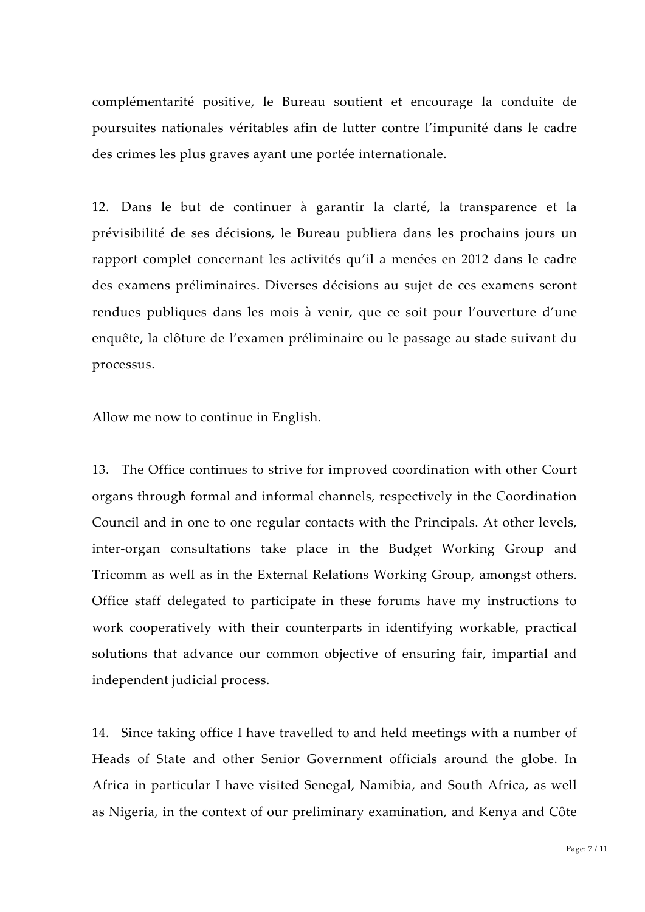complémentarité positive, le Bureau soutient et encourage la conduite de poursuites nationales véritables afin de lutter contre l'impunité dans le cadre des crimes les plus graves ayant une portée internationale.

12. Dans le but de continuer à garantir la clarté, la transparence et la prévisibilité de ses décisions, le Bureau publiera dans les prochains jours un rapport complet concernant les activités qu'il a menées en 2012 dans le cadre des examens préliminaires. Diverses décisions au sujet de ces examens seront rendues publiques dans les mois à venir, que ce soit pour l'ouverture d'une enquête, la clôture de l'examen préliminaire ou le passage au stade suivant du processus.

Allow me now to continue in English.

13. The Office continues to strive for improved coordination with other Court organs through formal and informal channels, respectively in the Coordination Council and in one to one regular contacts with the Principals. At other levels, inter‐organ consultations take place in the Budget Working Group and Tricomm as well as in the External Relations Working Group, amongst others. Office staff delegated to participate in these forums have my instructions to work cooperatively with their counterparts in identifying workable, practical solutions that advance our common objective of ensuring fair, impartial and independent judicial process.

14. Since taking office I have travelled to and held meetings with a number of Heads of State and other Senior Government officials around the globe. In Africa in particular I have visited Senegal, Namibia, and South Africa, as well as Nigeria, in the context of our preliminary examination, and Kenya and Côte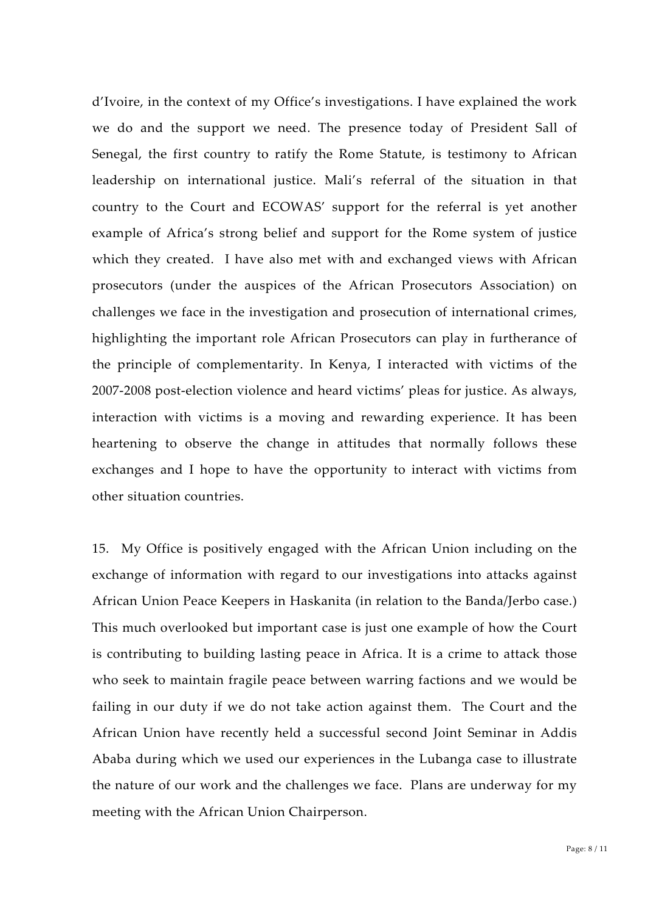d'Ivoire, in the context of my Office's investigations. I have explained the work we do and the support we need. The presence today of President Sall of Senegal, the first country to ratify the Rome Statute, is testimony to African leadership on international justice. Mali's referral of the situation in that country to the Court and ECOWAS' support for the referral is yet another example of Africa's strong belief and support for the Rome system of justice which they created. I have also met with and exchanged views with African prosecutors (under the auspices of the African Prosecutors Association) on challenges we face in the investigation and prosecution of international crimes, highlighting the important role African Prosecutors can play in furtherance of the principle of complementarity. In Kenya, I interacted with victims of the 2007‐2008 post‐election violence and heard victims' pleas for justice. As always, interaction with victims is a moving and rewarding experience. It has been heartening to observe the change in attitudes that normally follows these exchanges and I hope to have the opportunity to interact with victims from other situation countries.

15. My Office is positively engaged with the African Union including on the exchange of information with regard to our investigations into attacks against African Union Peace Keepers in Haskanita (in relation to the Banda/Jerbo case.) This much overlooked but important case is just one example of how the Court is contributing to building lasting peace in Africa. It is a crime to attack those who seek to maintain fragile peace between warring factions and we would be failing in our duty if we do not take action against them. The Court and the African Union have recently held a successful second Joint Seminar in Addis Ababa during which we used our experiences in the Lubanga case to illustrate the nature of our work and the challenges we face. Plans are underway for my meeting with the African Union Chairperson.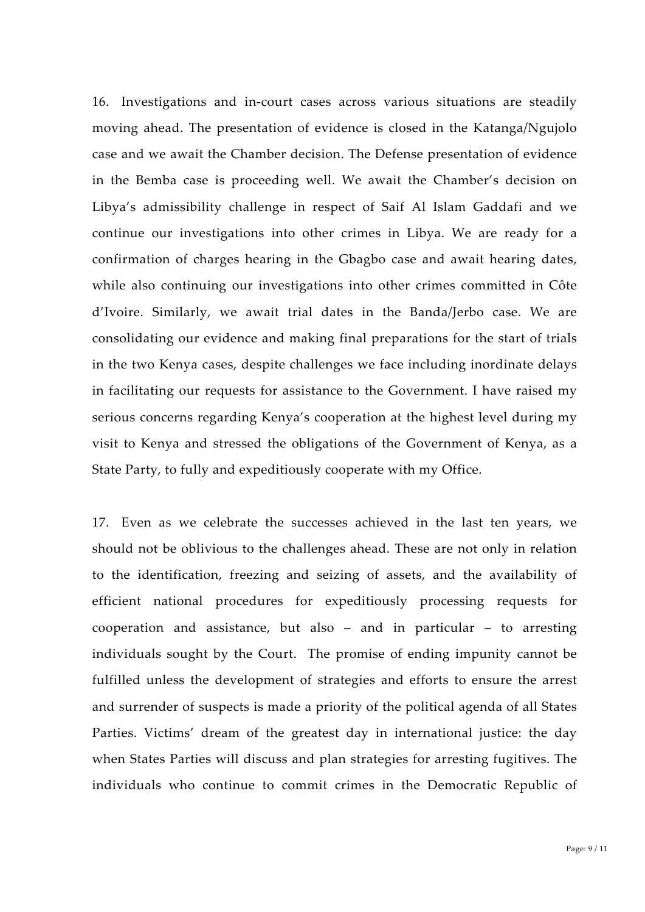16. Investigations and in‐court cases across various situations are steadily moving ahead. The presentation of evidence is closed in the Katanga/Ngujolo case and we await the Chamber decision. The Defense presentation of evidence in the Bemba case is proceeding well. We await the Chamber's decision on Libya's admissibility challenge in respect of Saif Al Islam Gaddafi and we continue our investigations into other crimes in Libya. We are ready for a confirmation of charges hearing in the Gbagbo case and await hearing dates, while also continuing our investigations into other crimes committed in Côte d'Ivoire. Similarly, we await trial dates in the Banda/Jerbo case. We are consolidating our evidence and making final preparations for the start of trials in the two Kenya cases, despite challenges we face including inordinate delays in facilitating our requests for assistance to the Government. I have raised my serious concerns regarding Kenya's cooperation at the highest level during my visit to Kenya and stressed the obligations of the Government of Kenya, as a State Party, to fully and expeditiously cooperate with my Office.

17. Even as we celebrate the successes achieved in the last ten years, we should not be oblivious to the challenges ahead. These are not only in relation to the identification, freezing and seizing of assets, and the availability of efficient national procedures for expeditiously processing requests for cooperation and assistance, but also – and in particular – to arresting individuals sought by the Court. The promise of ending impunity cannot be fulfilled unless the development of strategies and efforts to ensure the arrest and surrender of suspects is made a priority of the political agenda of all States Parties. Victims' dream of the greatest day in international justice: the day when States Parties will discuss and plan strategies for arresting fugitives. The individuals who continue to commit crimes in the Democratic Republic of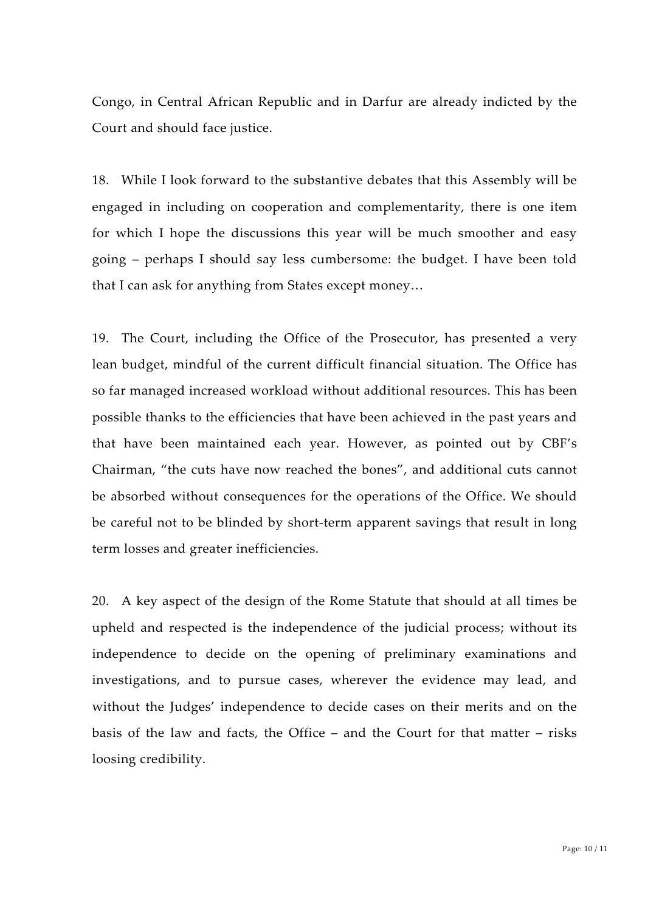Congo, in Central African Republic and in Darfur are already indicted by the Court and should face justice.

18. While I look forward to the substantive debates that this Assembly will be engaged in including on cooperation and complementarity, there is one item for which I hope the discussions this year will be much smoother and easy going – perhaps I should say less cumbersome: the budget. I have been told that I can ask for anything from States except money…

19. The Court, including the Office of the Prosecutor, has presented a very lean budget, mindful of the current difficult financial situation. The Office has so far managed increased workload without additional resources. This has been possible thanks to the efficiencies that have been achieved in the past years and that have been maintained each year. However, as pointed out by CBF's Chairman, "the cuts have now reached the bones", and additional cuts cannot be absorbed without consequences for the operations of the Office. We should be careful not to be blinded by short-term apparent savings that result in long term losses and greater inefficiencies.

20. A key aspect of the design of the Rome Statute that should at all times be upheld and respected is the independence of the judicial process; without its independence to decide on the opening of preliminary examinations and investigations, and to pursue cases, wherever the evidence may lead, and without the Judges' independence to decide cases on their merits and on the basis of the law and facts, the Office – and the Court for that matter – risks loosing credibility.